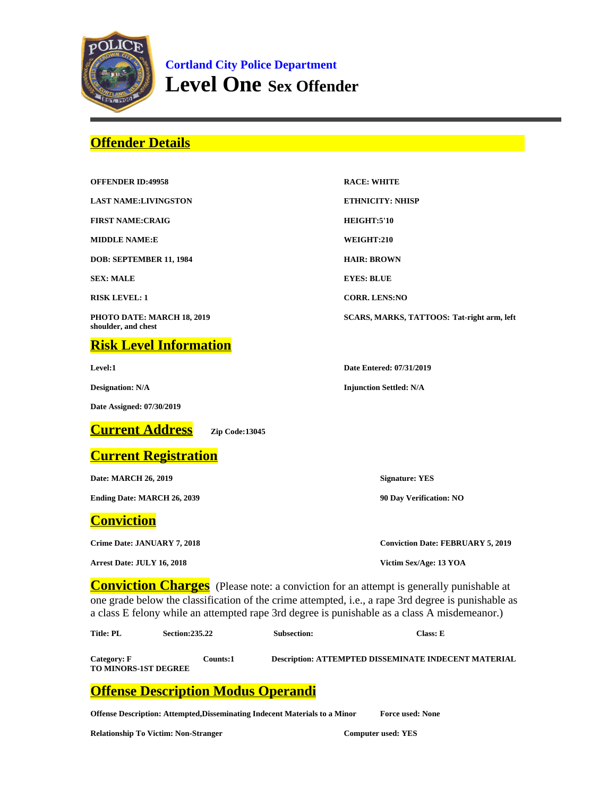

**Cortland City Police Department Level One Sex Offender**

## **Offender Details**

| <b>OFFENDER ID:49958</b>                          | <b>RACE: WHITE</b>                                                                             |  |
|---------------------------------------------------|------------------------------------------------------------------------------------------------|--|
| <b>LAST NAME:LIVINGSTON</b>                       | <b>ETHNICITY: NHISP</b>                                                                        |  |
| <b>FIRST NAME:CRAIG</b>                           | HEIGHT:5'10                                                                                    |  |
| <b>MIDDLE NAME:E</b>                              | WEIGHT:210                                                                                     |  |
| DOB: SEPTEMBER 11, 1984                           | <b>HAIR: BROWN</b>                                                                             |  |
| <b>SEX: MALE</b>                                  | <b>EYES: BLUE</b>                                                                              |  |
| <b>RISK LEVEL: 1</b>                              | <b>CORR. LENS:NO</b>                                                                           |  |
| PHOTO DATE: MARCH 18, 2019<br>shoulder, and chest | SCARS, MARKS, TATTOOS: Tat-right arm, left                                                     |  |
| <b>Risk Level Information</b>                     |                                                                                                |  |
| Level:1                                           | Date Entered: 07/31/2019                                                                       |  |
| <b>Designation: N/A</b>                           | <b>Injunction Settled: N/A</b>                                                                 |  |
| Date Assigned: 07/30/2019                         |                                                                                                |  |
| <b>Current Address</b><br>Zip Code:13045          |                                                                                                |  |
| <b>Current Registration</b>                       |                                                                                                |  |
| Date: MARCH 26, 2019                              | <b>Signature: YES</b>                                                                          |  |
| <b>Ending Date: MARCH 26, 2039</b>                | 90 Day Verification: NO                                                                        |  |
| <b>Conviction</b>                                 |                                                                                                |  |
| Crime Date: JANUARY 7, 2018                       | <b>Conviction Date: FEBRUARY 5, 2019</b>                                                       |  |
| Arrest Date: JULY 16, 2018                        | Victim Sex/Age: 13 YOA                                                                         |  |
|                                                   | <b>Conviction Charges</b> (Please note: a conviction for an attempt is generally punishable at |  |

one grade below the classification of the crime attempted, i.e., a rape 3rd degree is punishable as a class E felony while an attempted rape 3rd degree is punishable as a class A misdemeanor.)

| Category: F                 | Counts:1 | <b>Description: ATTEMPTED DISSEMINATE INDECENT MATERIAL</b> |
|-----------------------------|----------|-------------------------------------------------------------|
| <b>TO MINORS-1ST DEGREE</b> |          |                                                             |

## **Offense Description Modus Operandi**

**Offense Description: Attempted,Disseminating Indecent Materials to a Minor Force used: None**

**Title: PL Section:235.22 Subsection: Class: E**

**Relationship To Victim: Non-Stranger Computer used: YES**